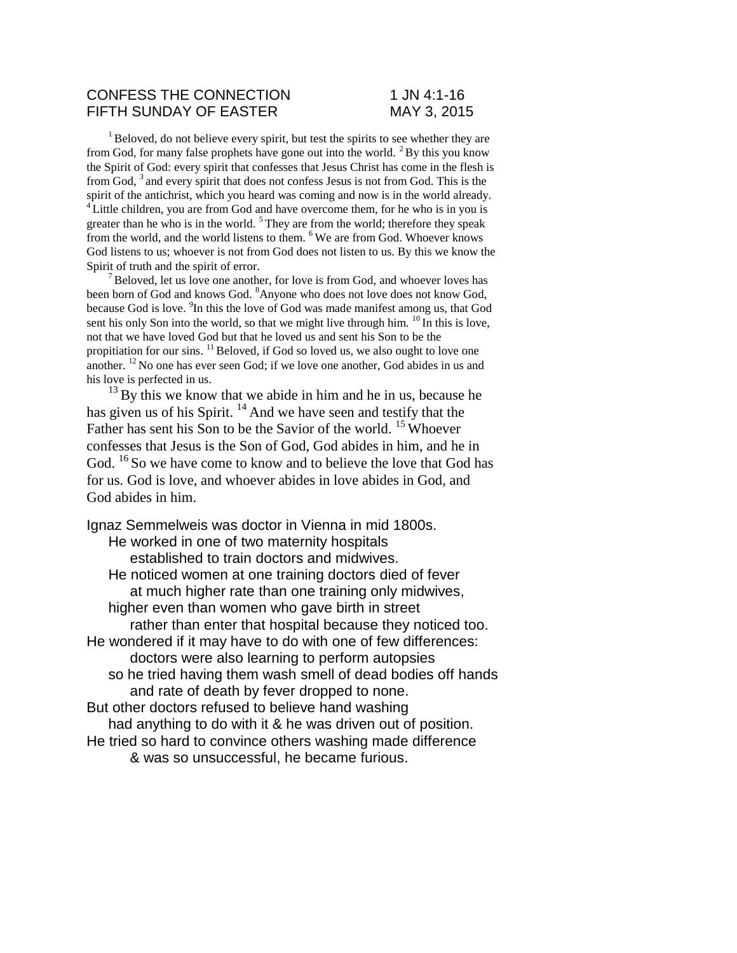## CONFESS THE CONNECTION 1 JN 4:1-16 FIFTH SUNDAY OF EASTER MAY 3. 2015

 $1$ Beloved, do not believe every spirit, but test the spirits to see whether they are from God, for many false prophets have gone out into the world.  $2$  By this you know the Spirit of God: every spirit that confesses that Jesus Christ has come in the flesh is from God, <sup>3</sup>and every spirit that does not confess Jesus is not from God. This is the spirit of the antichrist, which you heard was coming and now is in the world already. <sup>4</sup> Little children, you are from God and have overcome them, for he who is in you is greater than he who is in the world. <sup>5</sup>They are from the world; therefore they speak from the world, and the world listens to them. <sup>6</sup>We are from God. Whoever knows God listens to us; whoever is not from God does not listen to us. By this we know the Spirit of truth and the spirit of error.

 $<sup>7</sup>$  Beloved, let us love one another, for love is from God, and whoever loves has</sup> been born of God and knows God. <sup>8</sup>Anyone who does not love does not know God, because God is love. <sup>9</sup>In this the love of God was made manifest among us, that God sent his only Son into the world, so that we might live through him.  $^{10}$  In this is love, not that we have loved God but that he loved us and sent his Son to be the propitiation for our sins. <sup>11</sup> Beloved, if God so loved us, we also ought to love one another. <sup>12</sup>No one has ever seen God; if we love one another, God abides in us and his love is perfected in us.

 $^{13}$  By this we know that we abide in him and he in us, because he has given us of his Spirit.  $14$  And we have seen and testify that the Father has sent his Son to be the Savior of the world. <sup>15</sup> Whoever confesses that Jesus is the Son of God, God abides in him, and he in God. <sup>16</sup>So we have come to know and to believe the love that God has for us. God is love, and whoever abides in love abides in God, and God abides in him.

Ignaz Semmelweis was doctor in Vienna in mid 1800s. He worked in one of two maternity hospitals established to train doctors and midwives. He noticed women at one training doctors died of fever at much higher rate than one training only midwives, higher even than women who gave birth in street rather than enter that hospital because they noticed too. He wondered if it may have to do with one of few differences: doctors were also learning to perform autopsies so he tried having them wash smell of dead bodies off hands and rate of death by fever dropped to none. But other doctors refused to believe hand washing had anything to do with it & he was driven out of position. He tried so hard to convince others washing made difference & was so unsuccessful, he became furious.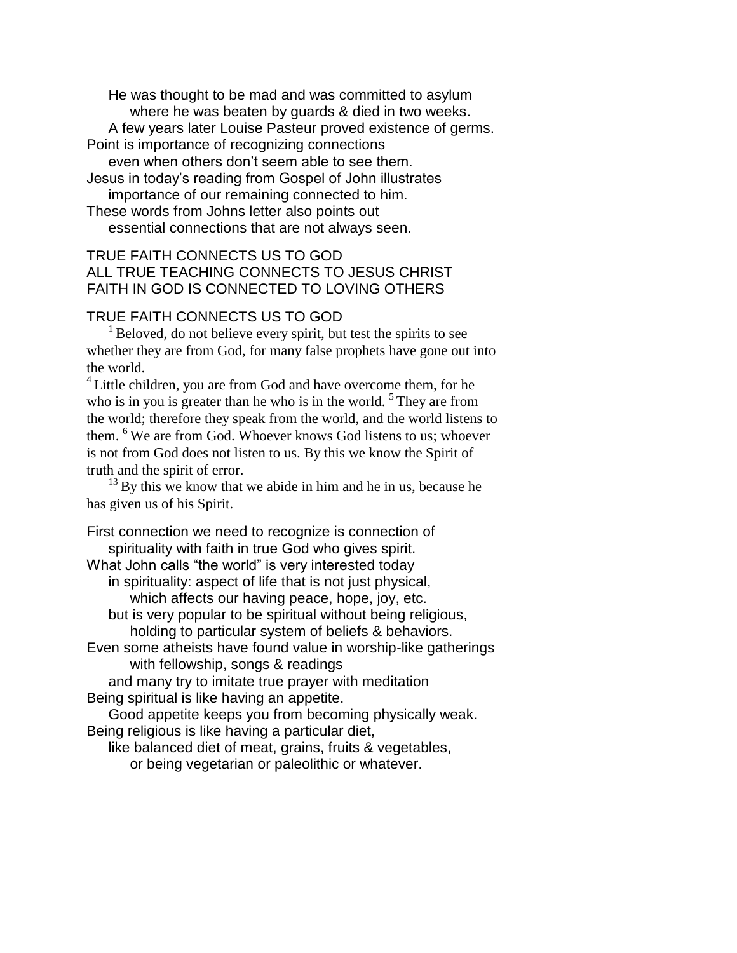He was thought to be mad and was committed to asylum where he was beaten by guards & died in two weeks. A few years later Louise Pasteur proved existence of germs. Point is importance of recognizing connections even when others don't seem able to see them. Jesus in today's reading from Gospel of John illustrates importance of our remaining connected to him. These words from Johns letter also points out essential connections that are not always seen.

## TRUE FAITH CONNECTS US TO GOD ALL TRUE TEACHING CONNECTS TO JESUS CHRIST FAITH IN GOD IS CONNECTED TO LOVING OTHERS

## TRUE FAITH CONNECTS US TO GOD

 $<sup>1</sup>$  Beloved, do not believe every spirit, but test the spirits to see</sup> whether they are from God, for many false prophets have gone out into the world.

<sup>4</sup> Little children, you are from God and have overcome them, for he who is in you is greater than he who is in the world.  $5$  They are from the world; therefore they speak from the world, and the world listens to them. <sup>6</sup>We are from God. Whoever knows God listens to us; whoever is not from God does not listen to us. By this we know the Spirit of truth and the spirit of error.

 $13$  By this we know that we abide in him and he in us, because he has given us of his Spirit.

First connection we need to recognize is connection of spirituality with faith in true God who gives spirit. What John calls "the world" is very interested today in spirituality: aspect of life that is not just physical, which affects our having peace, hope, joy, etc. but is very popular to be spiritual without being religious, holding to particular system of beliefs & behaviors. Even some atheists have found value in worship-like gatherings with fellowship, songs & readings and many try to imitate true prayer with meditation Being spiritual is like having an appetite. Good appetite keeps you from becoming physically weak. Being religious is like having a particular diet, like balanced diet of meat, grains, fruits & vegetables, or being vegetarian or paleolithic or whatever.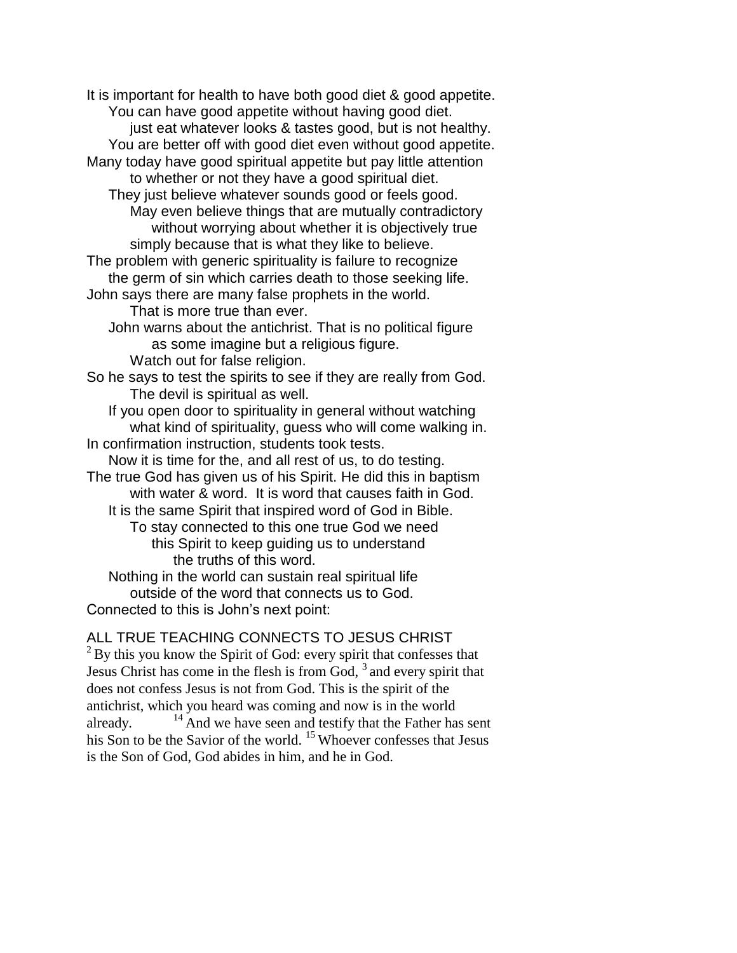It is important for health to have both good diet & good appetite. You can have good appetite without having good diet. just eat whatever looks & tastes good, but is not healthy. You are better off with good diet even without good appetite. Many today have good spiritual appetite but pay little attention to whether or not they have a good spiritual diet. They just believe whatever sounds good or feels good. May even believe things that are mutually contradictory without worrying about whether it is objectively true simply because that is what they like to believe. The problem with generic spirituality is failure to recognize the germ of sin which carries death to those seeking life. John says there are many false prophets in the world. That is more true than ever. John warns about the antichrist. That is no political figure as some imagine but a religious figure. Watch out for false religion. So he says to test the spirits to see if they are really from God. The devil is spiritual as well. If you open door to spirituality in general without watching what kind of spirituality, guess who will come walking in. In confirmation instruction, students took tests. Now it is time for the, and all rest of us, to do testing. The true God has given us of his Spirit. He did this in baptism with water & word. It is word that causes faith in God. It is the same Spirit that inspired word of God in Bible. To stay connected to this one true God we need this Spirit to keep guiding us to understand the truths of this word. Nothing in the world can sustain real spiritual life outside of the word that connects us to God. Connected to this is John's next point:

ALL TRUE TEACHING CONNECTS TO JESUS CHRIST  $2$  By this you know the Spirit of God: every spirit that confesses that Jesus Christ has come in the flesh is from God,  $3$  and every spirit that does not confess Jesus is not from God. This is the spirit of the antichrist, which you heard was coming and now is in the world already.  $14$ And we have seen and testify that the Father has sent

his Son to be the Savior of the world. <sup>15</sup> Whoever confesses that Jesus is the Son of God, God abides in him, and he in God.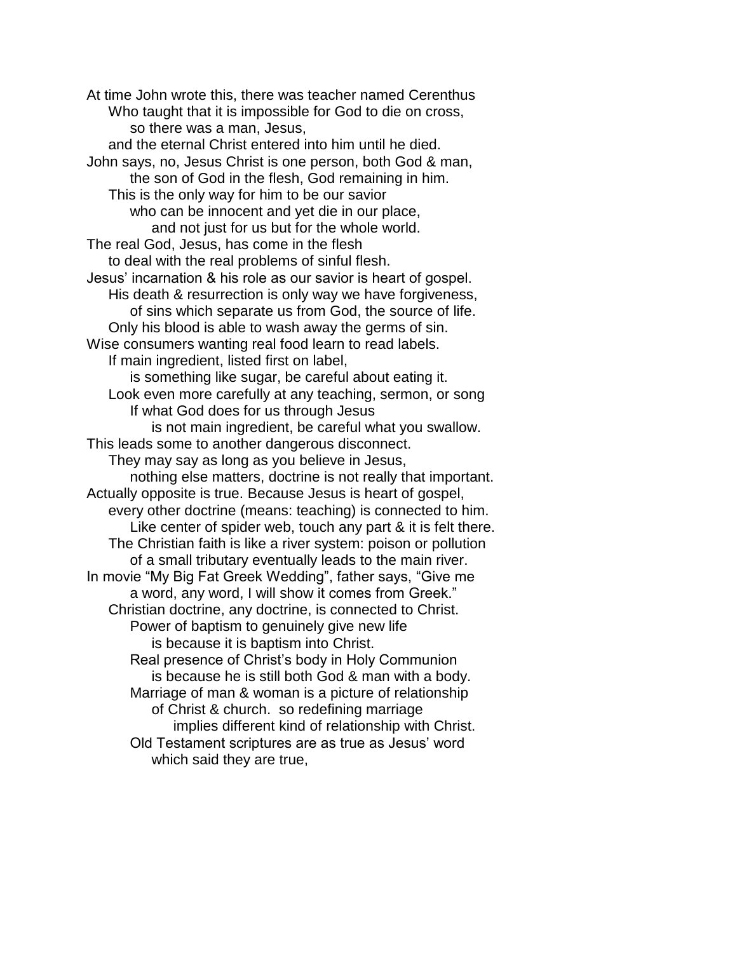At time John wrote this, there was teacher named Cerenthus Who taught that it is impossible for God to die on cross, so there was a man, Jesus, and the eternal Christ entered into him until he died. John says, no, Jesus Christ is one person, both God & man, the son of God in the flesh, God remaining in him. This is the only way for him to be our savior who can be innocent and yet die in our place, and not just for us but for the whole world. The real God, Jesus, has come in the flesh to deal with the real problems of sinful flesh. Jesus' incarnation & his role as our savior is heart of gospel. His death & resurrection is only way we have forgiveness, of sins which separate us from God, the source of life. Only his blood is able to wash away the germs of sin. Wise consumers wanting real food learn to read labels. If main ingredient, listed first on label, is something like sugar, be careful about eating it. Look even more carefully at any teaching, sermon, or song If what God does for us through Jesus is not main ingredient, be careful what you swallow. This leads some to another dangerous disconnect. They may say as long as you believe in Jesus, nothing else matters, doctrine is not really that important. Actually opposite is true. Because Jesus is heart of gospel, every other doctrine (means: teaching) is connected to him. Like center of spider web, touch any part & it is felt there. The Christian faith is like a river system: poison or pollution of a small tributary eventually leads to the main river. In movie "My Big Fat Greek Wedding", father says, "Give me a word, any word, I will show it comes from Greek." Christian doctrine, any doctrine, is connected to Christ. Power of baptism to genuinely give new life is because it is baptism into Christ. Real presence of Christ's body in Holy Communion is because he is still both God & man with a body. Marriage of man & woman is a picture of relationship of Christ & church. so redefining marriage implies different kind of relationship with Christ. Old Testament scriptures are as true as Jesus' word which said they are true,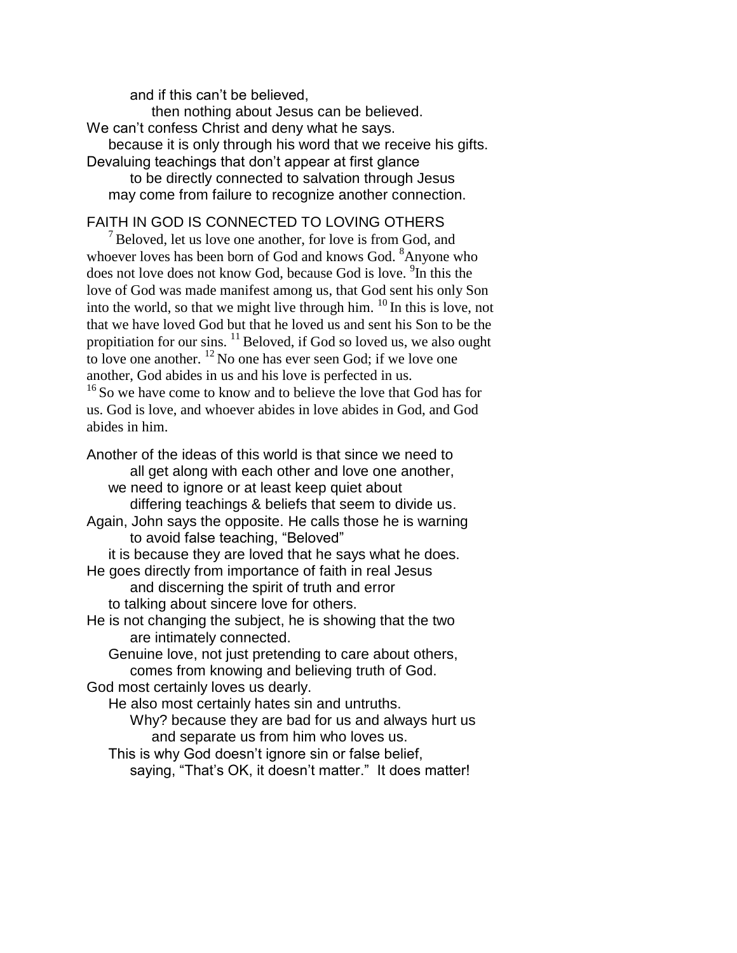and if this can't be believed,

then nothing about Jesus can be believed.

We can't confess Christ and deny what he says.

because it is only through his word that we receive his gifts.

Devaluing teachings that don't appear at first glance

to be directly connected to salvation through Jesus may come from failure to recognize another connection.

# FAITH IN GOD IS CONNECTED TO LOVING OTHERS

 $<sup>7</sup>$  Beloved, let us love one another, for love is from God, and</sup> whoever loves has been born of God and knows God. <sup>8</sup>Anyone who does not love does not know God, because God is love. <sup>9</sup>In this the love of God was made manifest among us, that God sent his only Son into the world, so that we might live through him.  $^{10}$  In this is love, not that we have loved God but that he loved us and sent his Son to be the propitiation for our sins.  $^{11}$  Beloved, if God so loved us, we also ought to love one another.  $12$  No one has ever seen God; if we love one another, God abides in us and his love is perfected in us.

<sup>16</sup>So we have come to know and to believe the love that God has for us. God is love, and whoever abides in love abides in God, and God abides in him.

Another of the ideas of this world is that since we need to all get along with each other and love one another, we need to ignore or at least keep quiet about differing teachings & beliefs that seem to divide us. Again, John says the opposite. He calls those he is warning to avoid false teaching, "Beloved" it is because they are loved that he says what he does. He goes directly from importance of faith in real Jesus and discerning the spirit of truth and error to talking about sincere love for others. He is not changing the subject, he is showing that the two are intimately connected. Genuine love, not just pretending to care about others, comes from knowing and believing truth of God. God most certainly loves us dearly. He also most certainly hates sin and untruths.

Why? because they are bad for us and always hurt us and separate us from him who loves us.

This is why God doesn't ignore sin or false belief, saying, "That's OK, it doesn't matter." It does matter!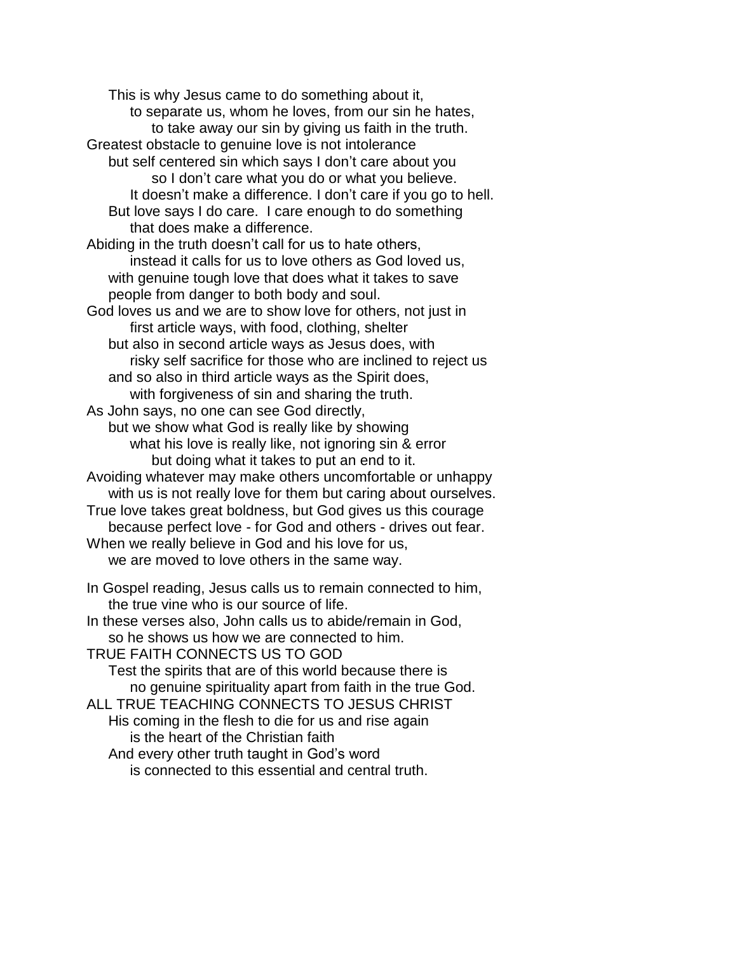This is why Jesus came to do something about it, to separate us, whom he loves, from our sin he hates, to take away our sin by giving us faith in the truth. Greatest obstacle to genuine love is not intolerance but self centered sin which says I don't care about you so I don't care what you do or what you believe. It doesn't make a difference. I don't care if you go to hell. But love says I do care. I care enough to do something that does make a difference. Abiding in the truth doesn't call for us to hate others, instead it calls for us to love others as God loved us, with genuine tough love that does what it takes to save people from danger to both body and soul. God loves us and we are to show love for others, not just in first article ways, with food, clothing, shelter but also in second article ways as Jesus does, with risky self sacrifice for those who are inclined to reject us and so also in third article ways as the Spirit does, with forgiveness of sin and sharing the truth. As John says, no one can see God directly, but we show what God is really like by showing what his love is really like, not ignoring sin & error but doing what it takes to put an end to it. Avoiding whatever may make others uncomfortable or unhappy with us is not really love for them but caring about ourselves. True love takes great boldness, but God gives us this courage because perfect love - for God and others - drives out fear. When we really believe in God and his love for us, we are moved to love others in the same way. In Gospel reading, Jesus calls us to remain connected to him, the true vine who is our source of life. In these verses also, John calls us to abide/remain in God, so he shows us how we are connected to him. TRUE FAITH CONNECTS US TO GOD Test the spirits that are of this world because there is no genuine spirituality apart from faith in the true God. ALL TRUE TEACHING CONNECTS TO JESUS CHRIST His coming in the flesh to die for us and rise again is the heart of the Christian faith And every other truth taught in God's word is connected to this essential and central truth.